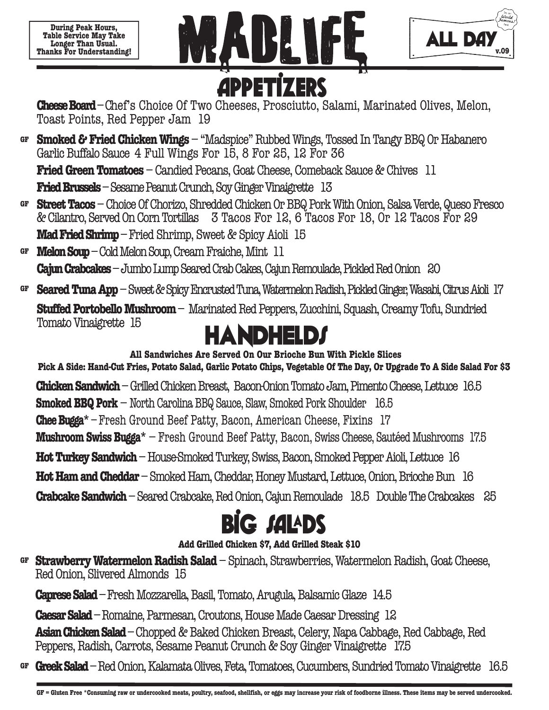**During Peak Hours, Table Service May Take Longer Than Usual. Thanks For Understanding!** 





**Cheese Board** – Chef's Choice Of Two Cheeses, Prosciutto, Salami, Marinated Olives, Melon, Toast Points, Red Pepper Jam 19

**Smoked & Fried Chicken Wings** – "Madspice" Rubbed Wings, Tossed In Tangy BBQ Or Habanero **GF** Garlic Buffalo Sauce 4 Full Wings For 15, 8 For 25, 12 For 36 **Fried Green Tomatoes** – Candied Pecans, Goat Cheese, Comeback Sauce & Chives 11

**Fried Brussels** – Sesame Peanut Crunch, Soy Ginger Vinaigrette 13

**Street Tacos** – Choice Of Chorizo, Shredded Chicken Or BBQ Pork With Onion, Salsa Verde, Queso Fresco **GF** & Cilantro, Served On Corn Tortillas 3 Tacos For 12, 6 Tacos For 18, Or 12 Tacos For 29 **Mad Fried Shrimp** – Fried Shrimp, Sweet & Spicy Aioli 15

**Melon Soup** – Cold Melon Soup, Cream Fraiche, Mint 11 **Cajun Crabcakes** – Jumbo Lump Seared Crab Cakes, Cajun Remoulade, Pickled Red Onion 20 **GF**

**Seared Tuna App**– Sweet & Spicy Encrusted Tuna, Watermelon Radish, Pickled Ginger, Wasabi, Citrus Aioli 17 **GF**

**Stuffed Portobello Mushroom**– Marinated Red Peppers, Zucchini, Squash, Creamy Tofu, Sundried Tomato Vinaigrette 15



**Pick A Side: Hand-Cut Fries, Potato Salad, Garlic Potato Chips, Vegetable Of The Day, Or Upgrade To A Side Salad For \$3 All Sandwiches Are Served On Our Brioche Bun With Pickle Slices Chicken Sandwich** – Grilled Chicken Breast, Bacon-Onion Tomato Jam, Pimento Cheese, Lettuce 16.5 **Smoked BBQ Pork** – North Carolina BBQ Sauce, Slaw, Smoked Pork Shoulder 16.5 **Chee Bugga\*** – Fresh Ground Beef Patty, Bacon, American Cheese, Fixins 17 **Mushroom Swiss Bugga\*** – Fresh Ground Beef Patty, Bacon, Swiss Cheese, Sautéed Mushrooms 17.5 **Hot Turkey Sandwich** – House-Smoked Turkey, Swiss, Bacon, Smoked Pepper Aioli, Lettuce 16 **Hot Ham and Cheddar** – Smoked Ham, Cheddar, Honey Mustard, Lettuce, Onion, Brioche Bun 16 **Crabcake Sandwich** – Seared Crabcake, Red Onion, Cajun Remoulade 18.5 Double The Crabcakes 25

## **Big Sa!ds**

### **Add Grilled Chicken \$7, Add Grilled Steak \$10**

**Strawberry Watermelon Radish Salad** – Spinach, Strawberries, Watermelon Radish, Goat Cheese, **GF** Red Onion, Slivered Almonds 15

**Caprese Salad** – Fresh Mozzarella, Basil, Tomato, Arugula, Balsamic Glaze 14.5

**Caesar Salad** – Romaine, Parmesan, Croutons, House Made Caesar Dressing 12

**Asian Chicken Salad** – Chopped & Baked Chicken Breast, Celery, Napa Cabbage, Red Cabbage, Red Peppers, Radish, Carrots, Sesame Peanut Crunch & Soy Ginger Vinaigrette 17.5

**Greek Salad**–Red Onion, Kalamata Olives, Feta, Tomatoes, Cucumbers, Sundried Tomato Vinaigrette 16.5 **GF**